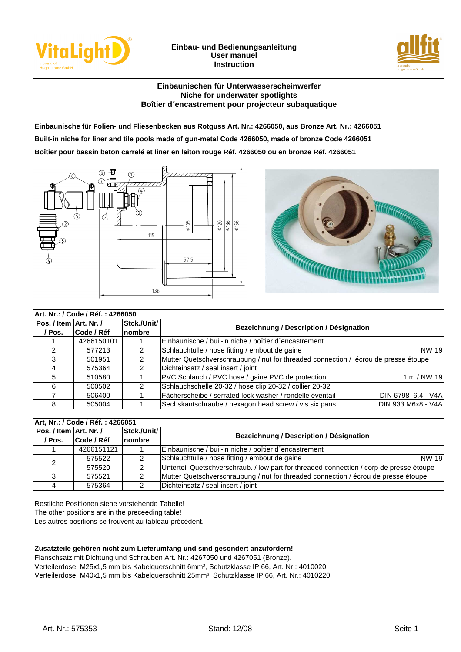

## **Einbau- und Bedienungsanleitung User manuel Instruction**



## **Einbaunischen für Unterwasserscheinwerfer Niche for underwater spotlights Boîtier d´encastrement pour projecteur subaquatique**

**Einbaunische für Folien- und Fliesenbecken aus Rotguss Art. Nr.: 4266050, aus Bronze Art. Nr.: 4266051 Built-in niche for liner and tile pools made of gun-metal Code 4266050, made of bronze Code 4266051 Boîtier pour bassin beton carrelé et liner en laiton rouge Réf. 4266050 ou en bronze Réf. 4266051**





| Art. Nr.: / Code / Réf. : 4266050 |            |               |                                                                                    |                    |  |
|-----------------------------------|------------|---------------|------------------------------------------------------------------------------------|--------------------|--|
| Pos. / Item Art. Nr. /            |            | Stck./Unit/   | Bezeichnung / Description / Désignation                                            |                    |  |
| / Pos.                            | Code / Réf | <b>nombre</b> |                                                                                    |                    |  |
|                                   | 4266150101 |               | Einbaunische / buil-in niche / boîtier d'encastrement                              |                    |  |
|                                   | 577213     |               | Schlauchtülle / hose fitting / embout de gaine                                     | <b>NW 19</b>       |  |
| 3                                 | 501951     |               | Mutter Quetschverschraubung / nut for threaded connection / écrou de presse étoupe |                    |  |
|                                   | 575364     |               | Dichteinsatz / seal insert / joint                                                 |                    |  |
| 5                                 | 510580     |               | PVC Schlauch / PVC hose / gaine PVC de protection                                  | 1 m/NW 19          |  |
| 6                                 | 500502     |               | Schlauchschelle 20-32 / hose clip 20-32 / collier 20-32                            |                    |  |
|                                   | 506400     |               | Fächerscheibe / serrated lock washer / rondelle éventail                           | DIN 6798 6.4 - V4A |  |
| 8                                 | 505004     |               | Sechskantschraube / hexagon head screw / vis six pans                              | DIN 933 M6x8 - V4A |  |

| Art, Nr.: / Code / Réf. : 4266051 |            |             |                                                                                         |  |  |
|-----------------------------------|------------|-------------|-----------------------------------------------------------------------------------------|--|--|
| Pos. / Item Art. Nr. /            |            | Stck./Unit/ | Bezeichnung / Description / Désignation                                                 |  |  |
| / Pos.                            | Code / Réf | nombre      |                                                                                         |  |  |
|                                   | 4266151121 |             | IEinbaunische / buil-in niche / boîtier d'encastrement                                  |  |  |
| $\mathcal{P}$                     | 575522     |             | Schlauchtülle / hose fitting / embout de gaine<br>NW 19                                 |  |  |
|                                   | 575520     | 2           | Unterteil Quetschverschraub. / low part for threaded connection / corp de presse étoupe |  |  |
|                                   | 575521     |             | Mutter Quetschverschraubung / nut for threaded connection / écrou de presse étoupe      |  |  |
|                                   | 575364     |             | Dichteinsatz / seal insert / joint                                                      |  |  |

Restliche Positionen siehe vorstehende Tabelle!

The other positions are in the preceeding table!

Les autres positions se trouvent au tableau précédent.

# **Zusatzteile gehören nicht zum Lieferumfang und sind gesondert anzufordern!**

Flanschsatz mit Dichtung und Schrauben Art. Nr.: 4267050 und 4267051 (Bronze). Verteilerdose, M25x1,5 mm bis Kabelquerschnitt 6mm², Schutzklasse IP 66, Art. Nr.: 4010020. Verteilerdose, M40x1,5 mm bis Kabelquerschnitt 25mm², Schutzklasse IP 66, Art. Nr.: 4010220.